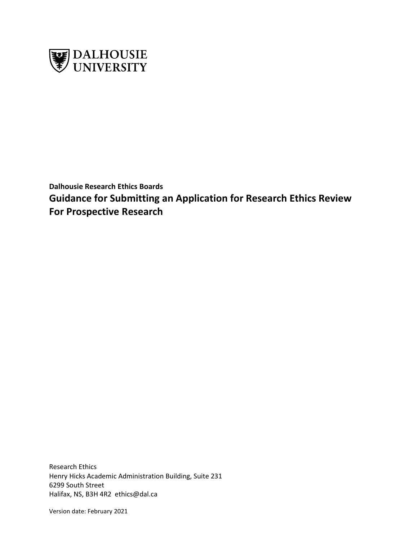

**Dalhousie Research Ethics Boards Guidance for Submitting an Application for Research Ethics Review For Prospective Research**

Research Ethics Henry Hicks Academic Administration Building, Suite 231 6299 South Street Halifax, NS, B3H 4R2 ethics@dal.ca

Version date: February 2021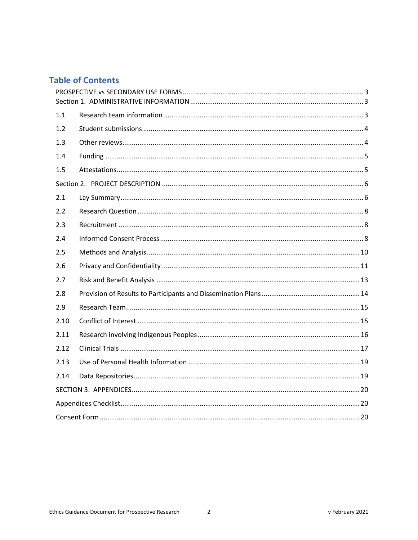# **Table of Contents**

| 1.1  |  |  |
|------|--|--|
| 1.2  |  |  |
| 1.3  |  |  |
| 1.4  |  |  |
| 1.5  |  |  |
|      |  |  |
| 2.1  |  |  |
| 2.2  |  |  |
| 2.3  |  |  |
| 2.4  |  |  |
| 2.5  |  |  |
| 2.6  |  |  |
| 2.7  |  |  |
| 2.8  |  |  |
| 2.9  |  |  |
| 2.10 |  |  |
| 2.11 |  |  |
| 2.12 |  |  |
| 2.13 |  |  |
| 2.14 |  |  |
|      |  |  |
|      |  |  |
|      |  |  |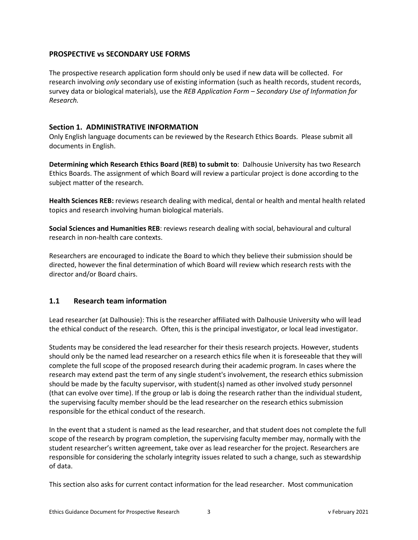## <span id="page-2-0"></span>**PROSPECTIVE vs SECONDARY USE FORMS**

The prospective research application form should only be used if new data will be collected. For research involving *only* secondary use of existing information (such as health records, student records, survey data or biological materials), use the *REB Application Form – Secondary Use of Information for Research.*

### <span id="page-2-1"></span>**Section 1. ADMINISTRATIVE INFORMATION**

Only English language documents can be reviewed by the Research Ethics Boards. Please submit all documents in English.

**Determining which Research Ethics Board (REB) to submit to**: Dalhousie University has two Research Ethics Boards. The assignment of which Board will review a particular project is done according to the subject matter of the research.

**Health Sciences REB:** reviews research dealing with medical, dental or health and mental health related topics and research involving human biological materials.

**Social Sciences and Humanities REB**: reviews research dealing with social, behavioural and cultural research in non-health care contexts.

Researchers are encouraged to indicate the Board to which they believe their submission should be directed, however the final determination of which Board will review which research rests with the director and/or Board chairs.

## <span id="page-2-2"></span>**1.1 Research team information**

Lead researcher (at Dalhousie): This is the researcher affiliated with Dalhousie University who will lead the ethical conduct of the research. Often, this is the principal investigator, or local lead investigator.

Students may be considered the lead researcher for their thesis research projects. However, students should only be the named lead researcher on a research ethics file when it is foreseeable that they will complete the full scope of the proposed research during their academic program. In cases where the research may extend past the term of any single student's involvement, the research ethics submission should be made by the faculty supervisor, with student(s) named as other involved study personnel (that can evolve over time). If the group or lab is doing the research rather than the individual student, the supervising faculty member should be the lead researcher on the research ethics submission responsible for the ethical conduct of the research.

In the event that a student is named as the lead researcher, and that student does not complete the full scope of the research by program completion, the supervising faculty member may, normally with the student researcher's written agreement, take over as lead researcher for the project. Researchers are responsible for considering the scholarly integrity issues related to such a change, such as stewardship of data.

This section also asks for current contact information for the lead researcher. Most communication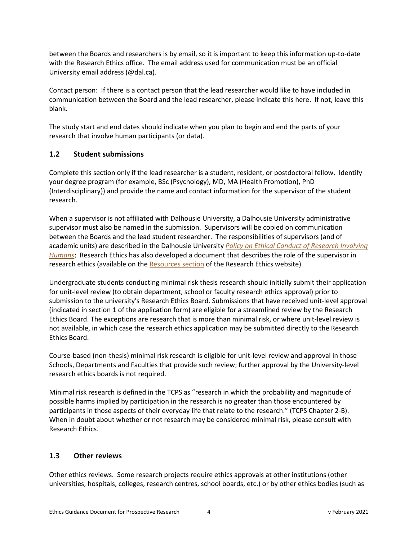between the Boards and researchers is by email, so it is important to keep this information up-to-date with the Research Ethics office. The email address used for communication must be an official University email address (@dal.ca).

Contact person: If there is a contact person that the lead researcher would like to have included in communication between the Board and the lead researcher, please indicate this here. If not, leave this blank.

The study start and end dates should indicate when you plan to begin and end the parts of your research that involve human participants (or data).

## <span id="page-3-0"></span>**1.2 Student submissions**

Complete this section only if the lead researcher is a student, resident, or postdoctoral fellow. Identify your degree program (for example, BSc (Psychology), MD, MA (Health Promotion), PhD (Interdisciplinary)) and provide the name and contact information for the supervisor of the student research.

When a supervisor is not affiliated with Dalhousie University, a Dalhousie University administrative supervisor must also be named in the submission. Supervisors will be copied on communication between the Boards and the lead student researcher. The responsibilities of supervisors (and of academic units) are described in the Dalhousie University *[Policy on Ethical Conduct of](https://www.dal.ca/dept/university_secretariat/policies/human-rights---equity/ethical-conduct-of-research-involving-humans-policy.html?cq_ck=1391184251453.html) Research Involving [Humans](https://www.dal.ca/dept/university_secretariat/policies/human-rights---equity/ethical-conduct-of-research-involving-humans-policy.html?cq_ck=1391184251453.html)*; Research Ethics has also developed a document that describes the role of the supervisor in research ethics (available on the [Resources section](https://www.dal.ca/dept/research-services/responsible-conduct-/research-ethics-/resources-.html) of the Research Ethics website).

Undergraduate students conducting minimal risk thesis research should initially submit their application for unit-level review (to obtain department, school or faculty research ethics approval) prior to submission to the university's Research Ethics Board. Submissions that have received unit-level approval (indicated in section 1 of the application form) are eligible for a streamlined review by the Research Ethics Board. The exceptions are research that is more than minimal risk, or where unit-level review is not available, in which case the research ethics application may be submitted directly to the Research Ethics Board.

Course-based (non-thesis) minimal risk research is eligible for unit-level review and approval in those Schools, Departments and Faculties that provide such review; further approval by the University-level research ethics boards is not required.

Minimal risk research is defined in the TCPS as "research in which the probability and magnitude of possible harms implied by participation in the research is no greater than those encountered by participants in those aspects of their everyday life that relate to the research." (TCPS Chapter 2-B). When in doubt about whether or not research may be considered minimal risk, please consult with Research Ethics.

## <span id="page-3-1"></span>**1.3 Other reviews**

Other ethics reviews. Some research projects require ethics approvals at other institutions (other universities, hospitals, colleges, research centres, school boards, etc.) or by other ethics bodies (such as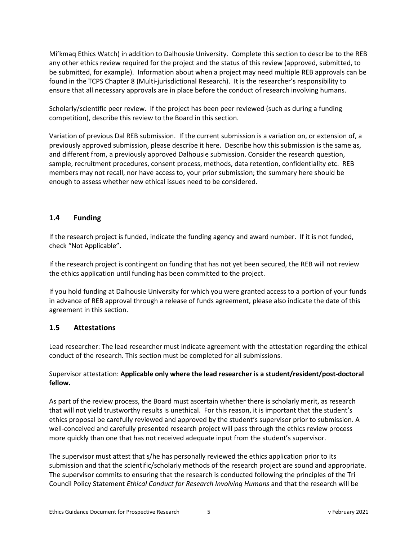Mi'kmaq Ethics Watch) in addition to Dalhousie University. Complete this section to describe to the REB any other ethics review required for the project and the status of this review (approved, submitted, to be submitted, for example). Information about when a project may need multiple REB approvals can be found in the TCPS Chapter 8 (Multi-jurisdictional Research). It is the researcher's responsibility to ensure that all necessary approvals are in place before the conduct of research involving humans.

Scholarly/scientific peer review. If the project has been peer reviewed (such as during a funding competition), describe this review to the Board in this section.

Variation of previous Dal REB submission. If the current submission is a variation on, or extension of, a previously approved submission, please describe it here. Describe how this submission is the same as, and different from, a previously approved Dalhousie submission. Consider the research question, sample, recruitment procedures, consent process, methods, data retention, confidentiality etc. REB members may not recall, nor have access to, your prior submission; the summary here should be enough to assess whether new ethical issues need to be considered.

## <span id="page-4-0"></span>**1.4 Funding**

If the research project is funded, indicate the funding agency and award number. If it is not funded, check "Not Applicable".

If the research project is contingent on funding that has not yet been secured, the REB will not review the ethics application until funding has been committed to the project.

If you hold funding at Dalhousie University for which you were granted access to a portion of your funds in advance of REB approval through a release of funds agreement, please also indicate the date of this agreement in this section.

### <span id="page-4-1"></span>**1.5 Attestations**

Lead researcher: The lead researcher must indicate agreement with the attestation regarding the ethical conduct of the research. This section must be completed for all submissions.

### Supervisor attestation: **Applicable only where the lead researcher is a student/resident/post-doctoral fellow.**

As part of the review process, the Board must ascertain whether there is scholarly merit, as research that will not yield trustworthy results is unethical. For this reason, it is important that the student's ethics proposal be carefully reviewed and approved by the student's supervisor prior to submission. A well-conceived and carefully presented research project will pass through the ethics review process more quickly than one that has not received adequate input from the student's supervisor.

The supervisor must attest that s/he has personally reviewed the ethics application prior to its submission and that the scientific/scholarly methods of the research project are sound and appropriate. The supervisor commits to ensuring that the research is conducted following the principles of the Tri Council Policy Statement *Ethical Conduct for Research Involving Humans* and that the research will be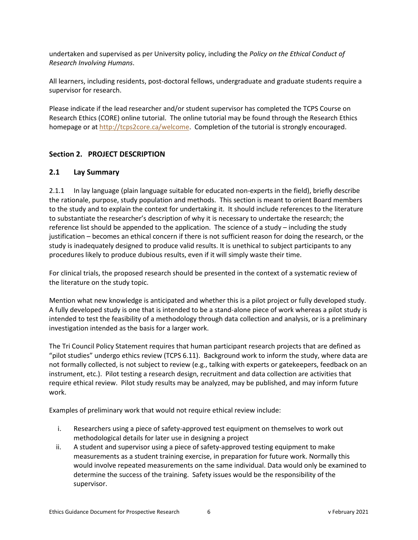undertaken and supervised as per University policy, including the *Policy on the Ethical Conduct of Research Involving Humans*.

All learners, including residents, post-doctoral fellows, undergraduate and graduate students require a supervisor for research.

Please indicate if the lead researcher and/or student supervisor has completed the TCPS Course on Research Ethics (CORE) online tutorial. The online tutorial may be found through the Research Ethics homepage or a[t http://tcps2core.ca/welcome.](http://tcps2core.ca/welcome) Completion of the tutorial is strongly encouraged.

## <span id="page-5-1"></span><span id="page-5-0"></span>**Section 2. PROJECT DESCRIPTION**

### **2.1 Lay Summary**

2.1.1 In lay language (plain language suitable for educated non-experts in the field), briefly describe the rationale, purpose, study population and methods. This section is meant to orient Board members to the study and to explain the context for undertaking it. It should include references to the literature to substantiate the researcher's description of why it is necessary to undertake the research; the reference list should be appended to the application. The science of a study – including the study justification – becomes an ethical concern if there is not sufficient reason for doing the research, or the study is inadequately designed to produce valid results. It is unethical to subject participants to any procedures likely to produce dubious results, even if it will simply waste their time.

For clinical trials, the proposed research should be presented in the context of a systematic review of the literature on the study topic.

Mention what new knowledge is anticipated and whether this is a pilot project or fully developed study. A fully developed study is one that is intended to be a stand-alone piece of work whereas a pilot study is intended to test the feasibility of a methodology through data collection and analysis, or is a preliminary investigation intended as the basis for a larger work.

The Tri Council Policy Statement requires that human participant research projects that are defined as "pilot studies" undergo ethics review (TCPS 6.11). Background work to inform the study, where data are not formally collected, is not subject to review (e.g., talking with experts or gatekeepers, feedback on an instrument, etc.). Pilot testing a research design, recruitment and data collection are activities that require ethical review. Pilot study results may be analyzed, may be published, and may inform future work.

Examples of preliminary work that would not require ethical review include:

- i. Researchers using a piece of safety-approved test equipment on themselves to work out methodological details for later use in designing a project
- ii. A student and supervisor using a piece of safety-approved testing equipment to make measurements as a student training exercise, in preparation for future work. Normally this would involve repeated measurements on the same individual. Data would only be examined to determine the success of the training. Safety issues would be the responsibility of the supervisor.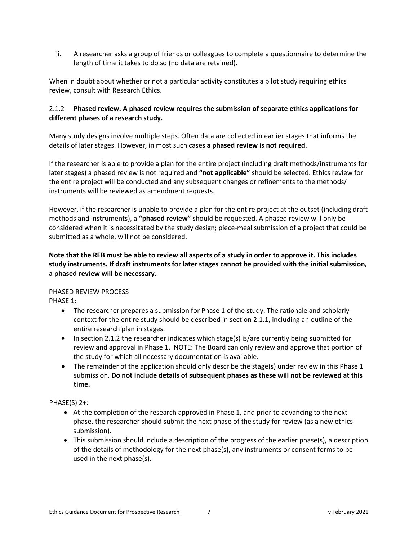iii. A researcher asks a group of friends or colleagues to complete a questionnaire to determine the length of time it takes to do so (no data are retained).

When in doubt about whether or not a particular activity constitutes a pilot study requiring ethics review, consult with Research Ethics.

### 2.1.2 **Phased review. A phased review requires the submission of separate ethics applications for different phases of a research study.**

Many study designs involve multiple steps. Often data are collected in earlier stages that informs the details of later stages. However, in most such cases **a phased review is not required**.

If the researcher is able to provide a plan for the entire project (including draft methods/instruments for later stages) a phased review is not required and **"not applicable"** should be selected. Ethics review for the entire project will be conducted and any subsequent changes or refinements to the methods/ instruments will be reviewed as amendment requests.

However, if the researcher is unable to provide a plan for the entire project at the outset (including draft methods and instruments), a **"phased review"** should be requested. A phased review will only be considered when it is necessitated by the study design; piece-meal submission of a project that could be submitted as a whole, will not be considered.

## **Note that the REB must be able to review all aspects of a study in order to approve it. This includes study instruments. If draft instruments for later stages cannot be provided with the initial submission, a phased review will be necessary.**

### PHASED REVIEW PROCESS

PHASE 1:

- The researcher prepares a submission for Phase 1 of the study. The rationale and scholarly context for the entire study should be described in section 2.1.1, including an outline of the entire research plan in stages.
- In section 2.1.2 the researcher indicates which stage(s) is/are currently being submitted for review and approval in Phase 1. NOTE: The Board can only review and approve that portion of the study for which all necessary documentation is available.
- The remainder of the application should only describe the stage(s) under review in this Phase 1 submission. **Do not include details of subsequent phases as these will not be reviewed at this time.**

## PHASE(S) 2+:

- At the completion of the research approved in Phase 1, and prior to advancing to the next phase, the researcher should submit the next phase of the study for review (as a new ethics submission).
- This submission should include a description of the progress of the earlier phase(s), a description of the details of methodology for the next phase(s), any instruments or consent forms to be used in the next phase(s).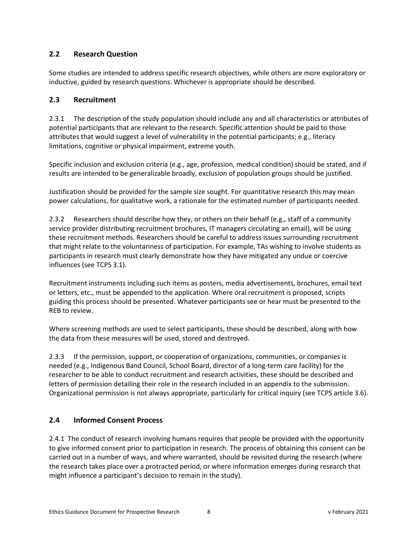# <span id="page-7-0"></span>**2.2 Research Question**

Some studies are intended to address specific research objectives, while others are more exploratory or inductive, guided by research questions. Whichever is appropriate should be described.

# <span id="page-7-1"></span>**2.3 Recruitment**

2.3.1 The description of the study population should include any and all characteristics or attributes of potential participants that are relevant to the research. Specific attention should be paid to those attributes that would suggest a level of vulnerability in the potential participants; e.g., literacy limitations, cognitive or physical impairment, extreme youth.

Specific inclusion and exclusion criteria (e.g., age, profession, medical condition) should be stated, and if results are intended to be generalizable broadly, exclusion of population groups should be justified.

Justification should be provided for the sample size sought. For quantitative research this may mean power calculations, for qualitative work, a rationale for the estimated number of participants needed.

2.3.2 Researchers should describe how they, or others on their behalf (e.g., staff of a community service provider distributing recruitment brochures, IT managers circulating an email), will be using these recruitment methods. Researchers should be careful to address issues surrounding recruitment that might relate to the voluntariness of participation. For example, TAs wishing to involve students as participants in research must clearly demonstrate how they have mitigated any undue or coercive influences (see TCPS 3.1).

Recruitment instruments including such items as posters, media advertisements, brochures, email text or letters, etc., must be appended to the application. Where oral recruitment is proposed, scripts guiding this process should be presented. Whatever participants see or hear must be presented to the REB to review.

Where screening methods are used to select participants, these should be described, along with how the data from these measures will be used, stored and destroyed.

2.3.3 If the permission, support, or cooperation of organizations, communities, or companies is needed (e.g., Indigenous Band Council, School Board, director of a long-term care facility) for the researcher to be able to conduct recruitment and research activities, these should be described and letters of permission detailing their role in the research included in an appendix to the submission. Organizational permission is not always appropriate, particularly for critical inquiry (see TCPS article 3.6).

# <span id="page-7-2"></span>**2.4 Informed Consent Process**

2.4.1 The conduct of research involving humans requires that people be provided with the opportunity to give informed consent prior to participation in research. The process of obtaining this consent can be carried out in a number of ways, and where warranted, should be revisited during the research (where the research takes place over a protracted period, or where information emerges during research that might influence a participant's decision to remain in the study).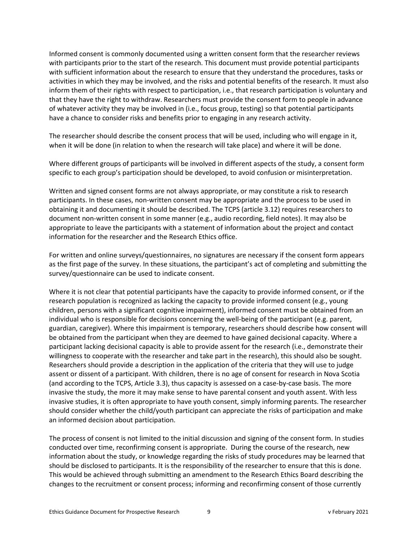Informed consent is commonly documented using a written consent form that the researcher reviews with participants prior to the start of the research. This document must provide potential participants with sufficient information about the research to ensure that they understand the procedures, tasks or activities in which they may be involved, and the risks and potential benefits of the research. It must also inform them of their rights with respect to participation, i.e., that research participation is voluntary and that they have the right to withdraw. Researchers must provide the consent form to people in advance of whatever activity they may be involved in (i.e., focus group, testing) so that potential participants have a chance to consider risks and benefits prior to engaging in any research activity.

The researcher should describe the consent process that will be used, including who will engage in it, when it will be done (in relation to when the research will take place) and where it will be done.

Where different groups of participants will be involved in different aspects of the study, a consent form specific to each group's participation should be developed, to avoid confusion or misinterpretation.

Written and signed consent forms are not always appropriate, or may constitute a risk to research participants. In these cases, non-written consent may be appropriate and the process to be used in obtaining it and documenting it should be described. The TCPS (article 3.12) requires researchers to document non-written consent in some manner (e.g., audio recording, field notes). It may also be appropriate to leave the participants with a statement of information about the project and contact information for the researcher and the Research Ethics office.

For written and online surveys/questionnaires, no signatures are necessary if the consent form appears as the first page of the survey. In these situations, the participant's act of completing and submitting the survey/questionnaire can be used to indicate consent.

Where it is not clear that potential participants have the capacity to provide informed consent, or if the research population is recognized as lacking the capacity to provide informed consent (e.g., young children, persons with a significant cognitive impairment), informed consent must be obtained from an individual who is responsible for decisions concerning the well-being of the participant (e.g. parent, guardian, caregiver). Where this impairment is temporary, researchers should describe how consent will be obtained from the participant when they are deemed to have gained decisional capacity. Where a participant lacking decisional capacity is able to provide assent for the research (i.e., demonstrate their willingness to cooperate with the researcher and take part in the research), this should also be sought. Researchers should provide a description in the application of the criteria that they will use to judge assent or dissent of a participant. With children, there is no age of consent for research in Nova Scotia (and according to the TCPS, Article 3.3), thus capacity is assessed on a case-by-case basis. The more invasive the study, the more it may make sense to have parental consent and youth assent. With less invasive studies, it is often appropriate to have youth consent, simply informing parents. The researcher should consider whether the child/youth participant can appreciate the risks of participation and make an informed decision about participation.

The process of consent is not limited to the initial discussion and signing of the consent form. In studies conducted over time, reconfirming consent is appropriate. During the course of the research, new information about the study, or knowledge regarding the risks of study procedures may be learned that should be disclosed to participants. It is the responsibility of the researcher to ensure that this is done. This would be achieved through submitting an amendment to the Research Ethics Board describing the changes to the recruitment or consent process; informing and reconfirming consent of those currently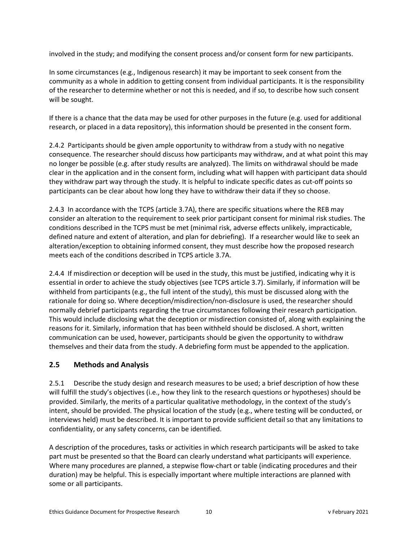involved in the study; and modifying the consent process and/or consent form for new participants.

In some circumstances (e.g., Indigenous research) it may be important to seek consent from the community as a whole in addition to getting consent from individual participants. It is the responsibility of the researcher to determine whether or not this is needed, and if so, to describe how such consent will be sought.

If there is a chance that the data may be used for other purposes in the future (e.g. used for additional research, or placed in a data repository), this information should be presented in the consent form.

2.4.2 Participants should be given ample opportunity to withdraw from a study with no negative consequence. The researcher should discuss how participants may withdraw, and at what point this may no longer be possible (e.g. after study results are analyzed). The limits on withdrawal should be made clear in the application and in the consent form, including what will happen with participant data should they withdraw part way through the study. It is helpful to indicate specific dates as cut-off points so participants can be clear about how long they have to withdraw their data if they so choose.

2.4.3In accordance with the TCPS (article 3.7A), there are specific situations where the REB may consider an alteration to the requirement to seek prior participant consent for minimal risk studies. The conditions described in the TCPS must be met (minimal risk, adverse effects unlikely, impracticable, defined nature and extent of alteration, and plan for debriefing). If a researcher would like to seek an alteration/exception to obtaining informed consent, they must describe how the proposed research meets each of the conditions described in TCPS article 3.7A.

2.4.4 If misdirection or deception will be used in the study, this must be justified, indicating why it is essential in order to achieve the study objectives (see TCPS article 3.7). Similarly, if information will be withheld from participants (e.g., the full intent of the study), this must be discussed along with the rationale for doing so. Where deception/misdirection/non-disclosure is used, the researcher should normally debrief participants regarding the true circumstances following their research participation. This would include disclosing what the deception or misdirection consisted of, along with explaining the reasons for it. Similarly, information that has been withheld should be disclosed. A short, written communication can be used, however, participants should be given the opportunity to withdraw themselves and their data from the study. A debriefing form must be appended to the application.

## <span id="page-9-0"></span>**2.5 Methods and Analysis**

2.5.1 Describe the study design and research measures to be used; a brief description of how these will fulfill the study's objectives (i.e., how they link to the research questions or hypotheses) should be provided. Similarly, the merits of a particular qualitative methodology, in the context of the study's intent, should be provided. The physical location of the study (e.g., where testing will be conducted, or interviews held) must be described. It is important to provide sufficient detail so that any limitations to confidentiality, or any safety concerns, can be identified.

A description of the procedures, tasks or activities in which research participants will be asked to take part must be presented so that the Board can clearly understand what participants will experience. Where many procedures are planned, a stepwise flow-chart or table (indicating procedures and their duration) may be helpful. This is especially important where multiple interactions are planned with some or all participants.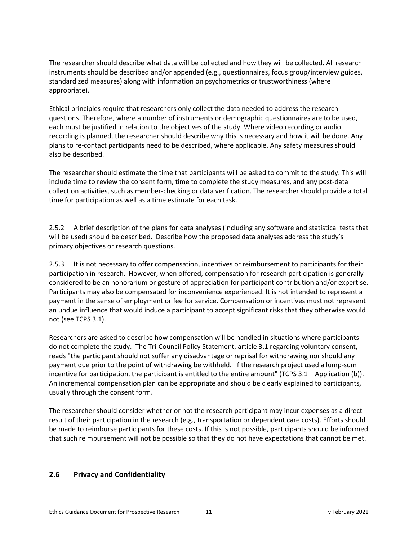The researcher should describe what data will be collected and how they will be collected. All research instruments should be described and/or appended (e.g., questionnaires, focus group/interview guides, standardized measures) along with information on psychometrics or trustworthiness (where appropriate).

Ethical principles require that researchers only collect the data needed to address the research questions. Therefore, where a number of instruments or demographic questionnaires are to be used, each must be justified in relation to the objectives of the study. Where video recording or audio recording is planned, the researcher should describe why this is necessary and how it will be done. Any plans to re-contact participants need to be described, where applicable. Any safety measures should also be described.

The researcher should estimate the time that participants will be asked to commit to the study. This will include time to review the consent form, time to complete the study measures, and any post-data collection activities, such as member-checking or data verification. The researcher should provide a total time for participation as well as a time estimate for each task.

2.5.2 A brief description of the plans for data analyses (including any software and statistical tests that will be used) should be described. Describe how the proposed data analyses address the study's primary objectives or research questions.

2.5.3 It is not necessary to offer compensation, incentives or reimbursement to participants for their participation in research. However, when offered, compensation for research participation is generally considered to be an honorarium or gesture of appreciation for participant contribution and/or expertise. Participants may also be compensated for inconvenience experienced. It is not intended to represent a payment in the sense of employment or fee for service. Compensation or incentives must not represent an undue influence that would induce a participant to accept significant risks that they otherwise would not (see TCPS 3.1).

Researchers are asked to describe how compensation will be handled in situations where participants do not complete the study. The Tri-Council Policy Statement, article 3.1 regarding voluntary consent, reads "the participant should not suffer any disadvantage or reprisal for withdrawing nor should any payment due prior to the point of withdrawing be withheld. If the research project used a lump-sum incentive for participation, the participant is entitled to the entire amount" (TCPS 3.1 – Application (b)). An incremental compensation plan can be appropriate and should be clearly explained to participants, usually through the consent form.

The researcher should consider whether or not the research participant may incur expenses as a direct result of their participation in the research (e.g., transportation or dependent care costs). Efforts should be made to reimburse participants for these costs. If this is not possible, participants should be informed that such reimbursement will not be possible so that they do not have expectations that cannot be met.

## <span id="page-10-0"></span>**2.6 Privacy and Confidentiality**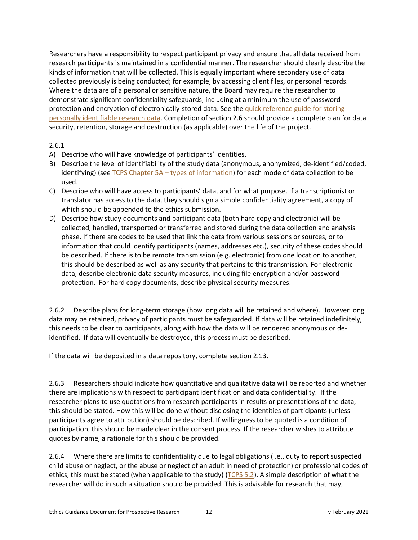Researchers have a responsibility to respect participant privacy and ensure that all data received from research participants is maintained in a confidential manner. The researcher should clearly describe the kinds of information that will be collected. This is equally important where secondary use of data collected previously is being conducted; for example, by accessing client files, or personal records. Where the data are of a personal or sensitive nature, the Board may require the researcher to demonstrate significant confidentiality safeguards, including at a minimum the use of password protection and encryption of electronically-stored data. See the quick reference [guide for storing](https://cdn.dal.ca/content/dam/dalhousie/pdf/research-services/REB/Protecting%20Electronically%20Stored%20Personally%20Identifiable%20Research%20Data.pdf)  [personally identifiable research](https://cdn.dal.ca/content/dam/dalhousie/pdf/research-services/REB/Protecting%20Electronically%20Stored%20Personally%20Identifiable%20Research%20Data.pdf) data. Completion of section 2.6 should provide a complete plan for data security, retention, storage and destruction (as applicable) over the life of the project.

### 2.6.1

- A) Describe who will have knowledge of participants' identities,
- B) Describe the level of identifiability of the study data (anonymous, anonymized, de-identified/coded, identifying) (see TCPS Chapter 5A - [types of information\)](http://www.pre.ethics.gc.ca/eng/tcps2-eptc2_2018_chapter5-chapitre5.html#a) for each mode of data collection to be used.
- C) Describe who will have access to participants' data, and for what purpose. If a transcriptionist or translator has access to the data, they should sign a simple confidentiality agreement, a copy of which should be appended to the ethics submission.
- D) Describe how study documents and participant data (both hard copy and electronic) will be collected, handled, transported or transferred and stored during the data collection and analysis phase. If there are codes to be used that link the data from various sessions or sources, or to information that could identify participants (names, addresses etc.), security of these codes should be described. If there is to be remote transmission (e.g. electronic) from one location to another, this should be described as well as any security that pertains to this transmission. For electronic data, describe electronic data security measures, including file encryption and/or password protection. For hard copy documents, describe physical security measures.

2.6.2 Describe plans for long-term storage (how long data will be retained and where). However long data may be retained, privacy of participants must be safeguarded. If data will be retained indefinitely, this needs to be clear to participants, along with how the data will be rendered anonymous or deidentified. If data will eventually be destroyed, this process must be described.

If the data will be deposited in a data repository, complete section 2.13.

2.6.3 Researchers should indicate how quantitative and qualitative data will be reported and whether there are implications with respect to participant identification and data confidentiality. If the researcher plans to use quotations from research participants in results or presentations of the data, this should be stated. How this will be done without disclosing the identities of participants (unless participants agree to attribution) should be described. If willingness to be quoted is a condition of participation, this should be made clear in the consent process. If the researcher wishes to attribute quotes by name, a rationale for this should be provided.

2.6.4 Where there are limits to confidentiality due to legal obligations (i.e., duty to report suspected child abuse or neglect, or the abuse or neglect of an adult in need of protection) or professional codes of ethics, this must be stated (when applicable to the study) [\(TCPS 5.2\)](http://www.pre.ethics.gc.ca/eng/tcps2-eptc2_2018_chapter5-chapitre5.html?wbdisable=true). A simple description of what the researcher will do in such a situation should be provided. This is advisable for research that may,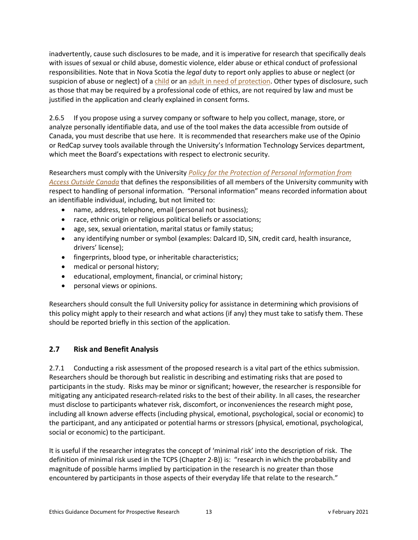inadvertently, cause such disclosures to be made, and it is imperative for research that specifically deals with issues of sexual or child abuse, domestic violence, elder abuse or ethical conduct of professional responsibilities. Note that in Nova Scotia the *legal* duty to report only applies to abuse or neglect (or suspicion of abuse or neglect) of a [child](https://novascotia.ca/coms/families/changestoCFSA/Duty-to-Report.pdf) or an [adult in need](https://nslegislature.ca/sites/default/files/legc/statutes/adult%20protection.pdf) of protection. Other types of disclosure, such as those that may be required by a professional code of ethics, are not required by law and must be justified in the application and clearly explained in consent forms.

2.6.5 If you propose using a survey company or software to help you collect, manage, store, or analyze personally identifiable data, and use of the tool makes the data accessible from outside of Canada, you must describe that use here. It is recommended that researchers make use of the Opinio or RedCap survey tools available through the University's Information Technology Services department, which meet the Board's expectations with respect to electronic security.

Researchers must comply with the University *Policy for the Protection [of Personal Information from](https://cdn.dal.ca/content/dam/dalhousie/pdf/dept/university_secretariat/policy-repository/PreotectionPersonalInfo.pdf)  [Access Outside Canada](https://cdn.dal.ca/content/dam/dalhousie/pdf/dept/university_secretariat/policy-repository/PreotectionPersonalInfo.pdf)* that defines the responsibilities of all members of the University community with respect to handling of personal information. "Personal information" means recorded information about an identifiable individual, including, but not limited to:

- name, address, telephone, email (personal not business);
- race, ethnic origin or religious political beliefs or associations;
- age, sex, sexual orientation, marital status or family status;
- any identifying number or symbol (examples: Dalcard ID, SIN, credit card, health insurance, drivers' license);
- fingerprints, blood type, or inheritable characteristics;
- medical or personal history;
- educational, employment, financial, or criminal history;
- personal views or opinions.

Researchers should consult the full University policy for assistance in determining which provisions of this policy might apply to their research and what actions (if any) they must take to satisfy them. These should be reported briefly in this section of the application.

# <span id="page-12-0"></span>**2.7 Risk and Benefit Analysis**

2.7.1 Conducting a risk assessment of the proposed research is a vital part of the ethics submission. Researchers should be thorough but realistic in describing and estimating risks that are posed to participants in the study. Risks may be minor or significant; however, the researcher is responsible for mitigating any anticipated research-related risks to the best of their ability. In all cases, the researcher must disclose to participants whatever risk, discomfort, or inconveniences the research might pose, including all known adverse effects (including physical, emotional, psychological, social or economic) to the participant, and any anticipated or potential harms or stressors (physical, emotional, psychological, social or economic) to the participant.

It is useful if the researcher integrates the concept of 'minimal risk' into the description of risk. The definition of minimal risk used in the TCPS (Chapter 2-B)) is: "research in which the probability and magnitude of possible harms implied by participation in the research is no greater than those encountered by participants in those aspects of their everyday life that relate to the research."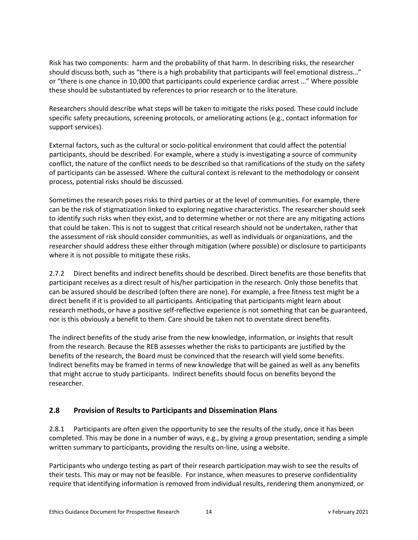Risk has two components: harm and the probability of that harm. In describing risks, the researcher should discuss both, such as "there is a high probability that participants will feel emotional distress…" or "there is one chance in 10,000 that participants could experience cardiac arrest …" Where possible these should be substantiated by references to prior research or to the literature.

Researchers should describe what steps will be taken to mitigate the risks posed. These could include specific safety precautions, screening protocols, or ameliorating actions (e.g., contact information for support services).

External factors, such as the cultural or socio-political environment that could affect the potential participants, should be described. For example, where a study is investigating a source of community conflict, the nature of the conflict needs to be described so that ramifications of the study on the safety of participants can be assessed. Where the cultural context is relevant to the methodology or consent process, potential risks should be discussed*.*

Sometimes the research poses risks to third parties or at the level of communities. For example, there can be the risk of stigmatization linked to exploring negative characteristics. The researcher should seek to identify such risks when they exist, and to determine whether or not there are any mitigating actions that could be taken. This is not to suggest that critical research should not be undertaken, rather that the assessment of risk should consider communities, as well as individuals or organizations, and the researcher should address these either through mitigation (where possible) or disclosure to participants where it is not possible to mitigate these risks.

2.7.2 Direct benefits and indirect benefits should be described. Direct benefits are those benefits that participant receives as a direct result of his/her participation in the research. Only those benefits that can be assured should be described (often there are none). For example, a free fitness test might be a direct benefit if it is provided to all participants. Anticipating that participants might learn about research methods, or have a positive self-reflective experience is not something that can be guaranteed, nor is this obviously a benefit to them. Care should be taken not to overstate direct benefits.

The indirect benefits of the study arise from the new knowledge, information, or insights that result from the research. Because the REB assesses whether the risks to participants are justified by the benefits of the research, the Board must be convinced that the research will yield some benefits. Indirect benefits may be framed in terms of new knowledge that will be gained as well as any benefits that might accrue to study participants. Indirect benefits should focus on benefits beyond the researcher.

# <span id="page-13-0"></span>**2.8 Provision of Results to Participants and Dissemination Plans**

2.8.1 Participants are often given the opportunity to see the results of the study, once it has been completed. This may be done in a number of ways, e.g., by giving a group presentation, sending a simple written summary to participants, providing the results on-line, using a website.

Participants who undergo testing as part of their research participation may wish to see the results of their tests. This may or may not be feasible. For instance, when measures to preserve confidentiality require that identifying information is removed from individual results, rendering them anonymized, or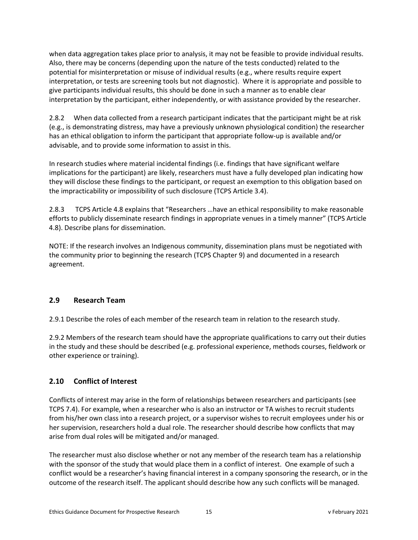when data aggregation takes place prior to analysis, it may not be feasible to provide individual results. Also, there may be concerns (depending upon the nature of the tests conducted) related to the potential for misinterpretation or misuse of individual results (e.g., where results require expert interpretation, or tests are screening tools but not diagnostic). Where it is appropriate and possible to give participants individual results, this should be done in such a manner as to enable clear interpretation by the participant, either independently, or with assistance provided by the researcher.

2.8.2 When data collected from a research participant indicates that the participant might be at risk (e.g., is demonstrating distress, may have a previously unknown physiological condition) the researcher has an ethical obligation to inform the participant that appropriate follow-up is available and/or advisable, and to provide some information to assist in this.

In research studies where material incidental findings (i.e. findings that have significant welfare implications for the participant) are likely, researchers must have a fully developed plan indicating how they will disclose these findings to the participant, or request an exemption to this obligation based on the impracticability or impossibility of such disclosure (TCPS Article 3.4).

2.8.3 TCPS Article 4.8 explains that "Researchers …have an ethical responsibility to make reasonable efforts to publicly disseminate research findings in appropriate venues in a timely manner" (TCPS Article 4.8). Describe plans for dissemination.

NOTE: If the research involves an Indigenous community, dissemination plans must be negotiated with the community prior to beginning the research (TCPS Chapter 9) and documented in a research agreement.

## <span id="page-14-0"></span>**2.9 Research Team**

2.9.1 Describe the roles of each member of the research team in relation to the research study.

2.9.2 Members of the research team should have the appropriate qualifications to carry out their duties in the study and these should be described (e.g. professional experience, methods courses, fieldwork or other experience or training).

## <span id="page-14-1"></span>**2.10 Conflict of Interest**

Conflicts of interest may arise in the form of relationships between researchers and participants (see TCPS 7.4). For example, when a researcher who is also an instructor or TA wishes to recruit students from his/her own class into a research project, or a supervisor wishes to recruit employees under his or her supervision, researchers hold a dual role. The researcher should describe how conflicts that may arise from dual roles will be mitigated and/or managed.

The researcher must also disclose whether or not any member of the research team has a relationship with the sponsor of the study that would place them in a conflict of interest. One example of such a conflict would be a researcher's having financial interest in a company sponsoring the research, or in the outcome of the research itself. The applicant should describe how any such conflicts will be managed.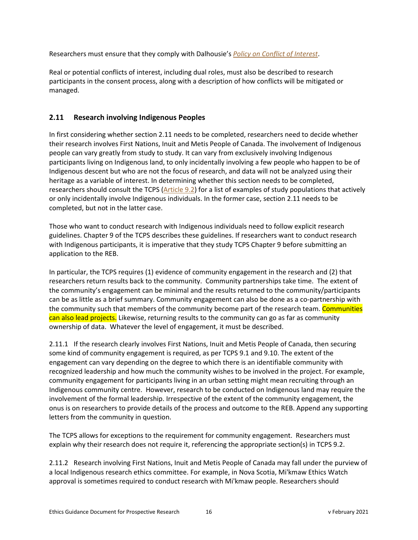Researchers must ensure that they comply with Dalhousie's *[Policy on Conflict of Interest](https://www.dal.ca/dept/university_secretariat/policies/governance/conflict-of-interest-policy-.html)*.

Real or potential conflicts of interest, including dual roles, must also be described to research participants in the consent process, along with a description of how conflicts will be mitigated or managed.

## <span id="page-15-0"></span>**2.11 Research involving Indigenous Peoples**

In first considering whether section 2.11 needs to be completed, researchers need to decide whether their research involves First Nations, Inuit and Metis People of Canada. The involvement of Indigenous people can vary greatly from study to study. It can vary from exclusively involving Indigenous participants living on Indigenous land, to only incidentally involving a few people who happen to be of Indigenous descent but who are not the focus of research, and data will not be analyzed using their heritage as a variable of interest. In determining whether this section needs to be completed, researchers should consult the TCPS [\(Article 9.2\)](http://www.pre.ethics.gc.ca/eng/tcps2-eptc2_2018_chapter9-chapitre9.html) for a list of examples of study populations that actively or only incidentally involve Indigenous individuals. In the former case, section 2.11 needs to be completed, but not in the latter case.

Those who want to conduct research with Indigenous individuals need to follow explicit research guidelines. Chapter 9 of the TCPS describes these guidelines. If researchers want to conduct research with Indigenous participants, it is imperative that they study TCPS Chapter 9 before submitting an application to the REB.

In particular, the TCPS requires (1) evidence of community engagement in the research and (2) that researchers return results back to the community. Community partnerships take time. The extent of the community's engagement can be minimal and the results returned to the community/participants can be as little as a brief summary. Community engagement can also be done as a co-partnership with the community such that members of the community become part of the research team. Communities can also lead projects. Likewise, returning results to the community can go as far as community ownership of data. Whatever the level of engagement, it must be described.

2.11.1 If the research clearly involves First Nations, Inuit and Metis People of Canada, then securing some kind of community engagement is required, as per TCPS 9.1 and 9.10. The extent of the engagement can vary depending on the degree to which there is an identifiable community with recognized leadership and how much the community wishes to be involved in the project. For example, community engagement for participants living in an urban setting might mean recruiting through an Indigenous community centre. However, research to be conducted on Indigenous land may require the involvement of the formal leadership. Irrespective of the extent of the community engagement, the onus is on researchers to provide details of the process and outcome to the REB. Append any supporting letters from the community in question.

The TCPS allows for exceptions to the requirement for community engagement. Researchers must explain why their research does not require it, referencing the appropriate section(s) in TCPS 9.2.

2.11.2 Research involving First Nations, Inuit and Metis People of Canada may fall under the purview of a local Indigenous research ethics committee. For example, in Nova Scotia, Mi'kmaw Ethics Watch approval is sometimes required to conduct research with Mi'kmaw people. Researchers should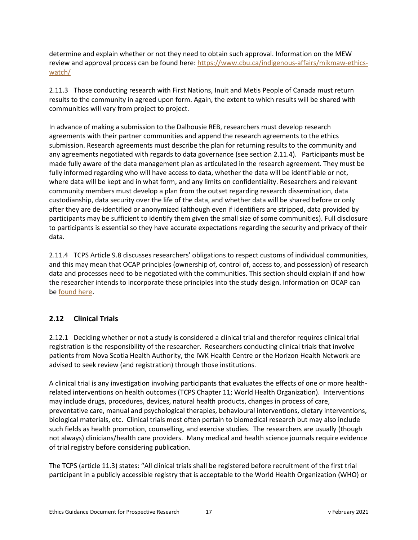determine and explain whether or not they need to obtain such approval. Information on the MEW review and approval process can be found here: [https://www.cbu.ca/indigenous-affairs/mikmaw-ethics](https://www.cbu.ca/indigenous-affairs/mikmaw-ethics-watch/)[watch/](https://www.cbu.ca/indigenous-affairs/mikmaw-ethics-watch/)

2.11.3 Those conducting research with First Nations, Inuit and Metis People of Canada must return results to the community in agreed upon form. Again, the extent to which results will be shared with communities will vary from project to project.

In advance of making a submission to the Dalhousie REB, researchers must develop research agreements with their partner communities and append the research agreements to the ethics submission. Research agreements must describe the plan for returning results to the community and any agreements negotiated with regards to data governance (see section 2.11.4). Participants must be made fully aware of the data management plan as articulated in the research agreement. They must be fully informed regarding who will have access to data, whether the data will be identifiable or not, where data will be kept and in what form, and any limits on confidentiality. Researchers and relevant community members must develop a plan from the outset regarding research dissemination, data custodianship, data security over the life of the data, and whether data will be shared before or only after they are de-identified or anonymized (although even if identifiers are stripped, data provided by participants may be sufficient to identify them given the small size of some communities). Full disclosure to participants is essential so they have accurate expectations regarding the security and privacy of their data.

2.11.4 TCPS Article 9.8 discusses researchers' obligations to respect customs of individual communities, and this may mean that OCAP principles (ownership of, control of, access to, and possession) of research data and processes need to be negotiated with the communities. This section should explain if and how the researcher intends to incorporate these principles into the study design. Information on OCAP can b[e found here.](https://fnigc.ca/)

# <span id="page-16-0"></span>**2.12 Clinical Trials**

2.12.1 Deciding whether or not a study is considered a clinical trial and therefor requires clinical trial registration is the responsibility of the researcher. Researchers conducting clinical trials that involve patients from Nova Scotia Health Authority, the IWK Health Centre or the Horizon Health Network are advised to seek review (and registration) through those institutions.

A clinical trial is any investigation involving participants that evaluates the effects of one or more healthrelated interventions on health outcomes (TCPS Chapter 11; World Health Organization). Interventions may include drugs, procedures, devices, natural health products, changes in process of care, preventative care, manual and psychological therapies, behavioural interventions, dietary interventions, biological materials, etc. Clinical trials most often pertain to biomedical research but may also include such fields as health promotion, counselling, and exercise studies. The researchers are usually (though not always) clinicians/health care providers. Many medical and health science journals require evidence of trial registry before considering publication.

The TCPS (article 11.3) states: "All clinical trials shall be registered before recruitment of the first trial participant in a publicly accessible registry that is acceptable to the World Health Organization (WHO) or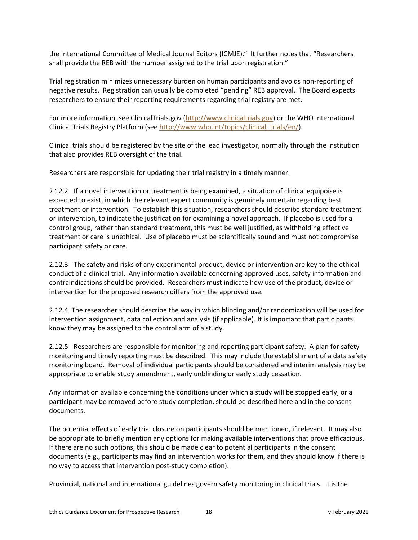the International Committee of Medical Journal Editors (ICMJE)." It further notes that "Researchers shall provide the REB with the number assigned to the trial upon registration."

Trial registration minimizes unnecessary burden on human participants and avoids non-reporting of negative results. Registration can usually be completed "pending" REB approval. The Board expects researchers to ensure their reporting requirements regarding trial registry are met.

For more information, see ClinicalTrials.gov [\(http://www.clinicaltrials.gov\)](http://www.clinicaltrials.gov/) or the WHO International Clinical Trials Registry Platform (see [http://www.who.int/topics/clinical\\_trials/en/\)](http://www.who.int/topics/clinical_trials/en/).

Clinical trials should be registered by the site of the lead investigator, normally through the institution that also provides REB oversight of the trial.

Researchers are responsible for updating their trial registry in a timely manner.

2.12.2 If a novel intervention or treatment is being examined, a situation of clinical equipoise is expected to exist, in which the relevant expert community is genuinely uncertain regarding best treatment or intervention. To establish this situation, researchers should describe standard treatment or intervention, to indicate the justification for examining a novel approach. If placebo is used for a control group, rather than standard treatment, this must be well justified, as withholding effective treatment or care is unethical. Use of placebo must be scientifically sound and must not compromise participant safety or care.

2.12.3 The safety and risks of any experimental product, device or intervention are key to the ethical conduct of a clinical trial. Any information available concerning approved uses, safety information and contraindications should be provided. Researchers must indicate how use of the product, device or intervention for the proposed research differs from the approved use.

2.12.4 The researcher should describe the way in which blinding and/or randomization will be used for intervention assignment, data collection and analysis (if applicable). It is important that participants know they may be assigned to the control arm of a study.

2.12.5 Researchers are responsible for monitoring and reporting participant safety. A plan for safety monitoring and timely reporting must be described. This may include the establishment of a data safety monitoring board. Removal of individual participants should be considered and interim analysis may be appropriate to enable study amendment, early unblinding or early study cessation.

Any information available concerning the conditions under which a study will be stopped early, or a participant may be removed before study completion, should be described here and in the consent documents.

The potential effects of early trial closure on participants should be mentioned, if relevant. It may also be appropriate to briefly mention any options for making available interventions that prove efficacious. If there are no such options, this should be made clear to potential participants in the consent documents (e.g., participants may find an intervention works for them, and they should know if there is no way to access that intervention post-study completion).

Provincial, national and international guidelines govern safety monitoring in clinical trials. It is the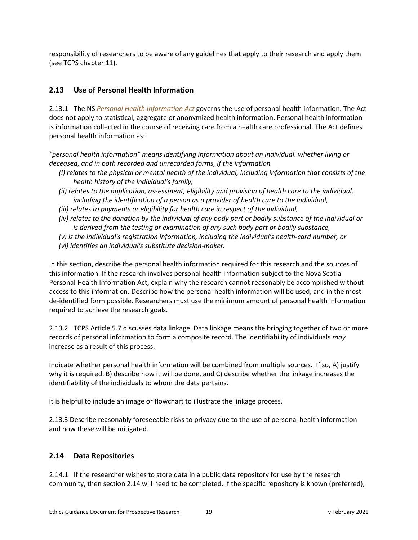responsibility of researchers to be aware of any guidelines that apply to their research and apply them (see TCPS chapter 11).

# <span id="page-18-0"></span>**2.13 Use of Personal Health Information**

2.13.1 The NS *[Personal Health Information Act](https://novascotia.ca/dhw/phia/PHIA-legislation.asp)* governs the use of personal health information. The Act does not apply to statistical, aggregate or anonymized health information. Personal health information is information collected in the course of receiving care from a health care professional. The Act defines personal health information as:

*"personal health information" means identifying information about an individual, whether living or deceased, and in both recorded and unrecorded forms, if the information*

- *(i) relates to the physical or mental health of the individual, including information that consists of the health history of the individual's family,*
- *(ii) relates to the application, assessment, eligibility and provision of health care to the individual, including the identification of a person as a provider of health care to the individual,*
- *(iii) relates to payments or eligibility for health care in respect of the individual,*
- *(iv) relates to the donation by the individual of any body part or bodily substance of the individual or is derived from the testing or examination of any such body part or bodily substance,*
- *(v) is the individual's registration information, including the individual's health-card number, or*
- *(vi) identifies an individual's substitute decision-maker.*

In this section, describe the personal health information required for this research and the sources of this information. If the research involves personal health information subject to the Nova Scotia Personal Health Information Act, explain why the research cannot reasonably be accomplished without access to this information. Describe how the personal health information will be used, and in the most de-identified form possible. Researchers must use the minimum amount of personal health information required to achieve the research goals.

2.13.2 TCPS Article 5.7 discusses data linkage. Data linkage means the bringing together of two or more records of personal information to form a composite record. The identifiability of individuals *may* increase as a result of this process.

Indicate whether personal health information will be combined from multiple sources. If so, A) justify why it is required, B) describe how it will be done, and C) describe whether the linkage increases the identifiability of the individuals to whom the data pertains.

It is helpful to include an image or flowchart to illustrate the linkage process.

2.13.3 Describe reasonably foreseeable risks to privacy due to the use of personal health information and how these will be mitigated.

## <span id="page-18-1"></span>**2.14 Data Repositories**

2.14.1 If the researcher wishes to store data in a public data repository for use by the research community, then section 2.14 will need to be completed. If the specific repository is known (preferred),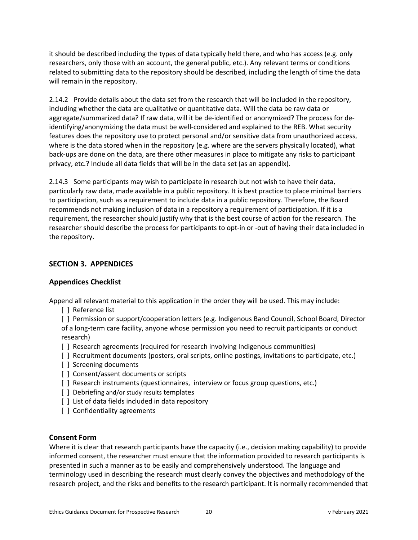it should be described including the types of data typically held there, and who has access (e.g. only researchers, only those with an account, the general public, etc.). Any relevant terms or conditions related to submitting data to the repository should be described, including the length of time the data will remain in the repository.

2.14.2 Provide details about the data set from the research that will be included in the repository, including whether the data are qualitative or quantitative data. Will the data be raw data or aggregate/summarized data? If raw data, will it be de-identified or anonymized? The process for deidentifying/anonymizing the data must be well-considered and explained to the REB. What security features does the repository use to protect personal and/or sensitive data from unauthorized access, where is the data stored when in the repository (e.g. where are the servers physically located), what back-ups are done on the data, are there other measures in place to mitigate any risks to participant privacy, etc.? Include all data fields that will be in the data set (as an appendix).

2.14.3 Some participants may wish to participate in research but not wish to have their data, particularly raw data, made available in a public repository. It is best practice to place minimal barriers to participation, such as a requirement to include data in a public repository. Therefore, the Board recommends not making inclusion of data in a repository a requirement of participation. If it is a requirement, the researcher should justify why that is the best course of action for the research. The researcher should describe the process for participants to opt-in or -out of having their data included in the repository.

## <span id="page-19-1"></span><span id="page-19-0"></span>**SECTION 3. APPENDICES**

## **Appendices Checklist**

Append all relevant material to this application in the order they will be used. This may include:

[ ] Reference list

[ ] Permission or support/cooperation letters (e.g. Indigenous Band Council, School Board, Director of a long-term care facility, anyone whose permission you need to recruit participants or conduct research)

- [ ] Research agreements (required for research involving Indigenous communities)
- [ ] Recruitment documents (posters, oral scripts, online postings, invitations to participate, etc.)
- [] Screening documents
- [] Consent/assent documents or scripts
- [ ] Research instruments (questionnaires, interview or focus group questions, etc.)
- [] Debriefing and/or study results templates
- [ ] List of data fields included in data repository
- [ ] Confidentiality agreements

### <span id="page-19-2"></span>**Consent Form**

Where it is clear that research participants have the capacity (i.e., decision making capability) to provide informed consent, the researcher must ensure that the information provided to research participants is presented in such a manner as to be easily and comprehensively understood. The language and terminology used in describing the research must clearly convey the objectives and methodology of the research project, and the risks and benefits to the research participant. It is normally recommended that